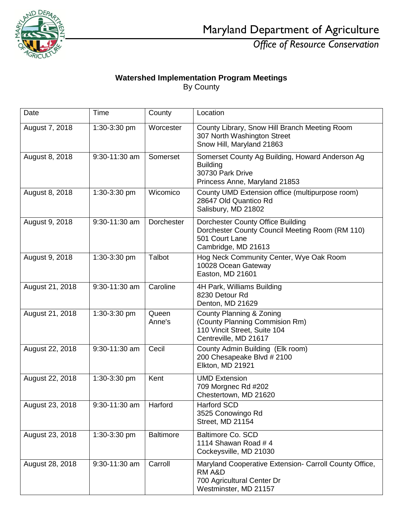

Maryland Department of Agriculture

*Office of Resource Conservation*

## **Watershed Implementation Program Meetings** By County

| Date            | Time          | County           | Location                                                                                                                       |
|-----------------|---------------|------------------|--------------------------------------------------------------------------------------------------------------------------------|
| August 7, 2018  | 1:30-3:30 pm  | Worcester        | County Library, Snow Hill Branch Meeting Room<br>307 North Washington Street<br>Snow Hill, Maryland 21863                      |
| August 8, 2018  | 9:30-11:30 am | Somerset         | Somerset County Ag Building, Howard Anderson Ag<br><b>Building</b><br>30730 Park Drive<br>Princess Anne, Maryland 21853        |
| August 8, 2018  | 1:30-3:30 pm  | Wicomico         | County UMD Extension office (multipurpose room)<br>28647 Old Quantico Rd<br>Salisbury, MD 21802                                |
| August 9, 2018  | 9:30-11:30 am | Dorchester       | Dorchester County Office Building<br>Dorchester County Council Meeting Room (RM 110)<br>501 Court Lane<br>Cambridge, MD 21613  |
| August 9, 2018  | 1:30-3:30 pm  | Talbot           | Hog Neck Community Center, Wye Oak Room<br>10028 Ocean Gateway<br>Easton, MD 21601                                             |
| August 21, 2018 | 9:30-11:30 am | Caroline         | 4H Park, Williams Building<br>8230 Detour Rd<br>Denton, MD 21629                                                               |
| August 21, 2018 | 1:30-3:30 pm  | Queen<br>Anne's  | <b>County Planning &amp; Zoning</b><br>(County Planning Commision Rm)<br>110 Vincit Street, Suite 104<br>Centreville, MD 21617 |
| August 22, 2018 | 9:30-11:30 am | Cecil            | County Admin Building (Elk room)<br>200 Chesapeake Blvd # 2100<br>Elkton, MD 21921                                             |
| August 22, 2018 | 1:30-3:30 pm  | Kent             | <b>UMD Extension</b><br>709 Morgnec Rd #202<br>Chestertown, MD 21620                                                           |
| August 23, 2018 | 9:30-11:30 am | Harford          | Harford SCD<br>3525 Conowingo Rd<br><b>Street, MD 21154</b>                                                                    |
| August 23, 2018 | 1:30-3:30 pm  | <b>Baltimore</b> | <b>Baltimore Co. SCD</b><br>1114 Shawan Road #4<br>Cockeysville, MD 21030                                                      |
| August 28, 2018 | 9:30-11:30 am | Carroll          | Maryland Cooperative Extension- Carroll County Office,<br>RM A&D<br>700 Agricultural Center Dr<br>Westminster, MD 21157        |